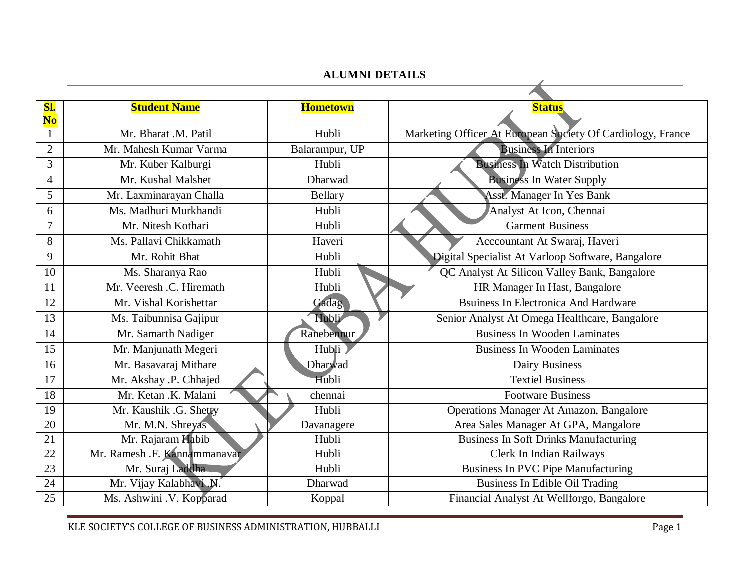## **ALUMNI DETAILS**

| SI.<br>N <sub>0</sub> | <b>Student Name</b>          | <b>Hometown</b> | <b>Status</b>                                               |
|-----------------------|------------------------------|-----------------|-------------------------------------------------------------|
|                       | Mr. Bharat .M. Patil         | Hubli           | Marketing Officer At European Society Of Cardiology, France |
| $\overline{2}$        | Mr. Mahesh Kumar Varma       | Balarampur, UP  | <b>Business In Interiors</b>                                |
| 3                     | Mr. Kuber Kalburgi           | Hubli           | <b>Business In Watch Distribution</b>                       |
| 4                     | Mr. Kushal Malshet           | Dharwad         | <b>Business In Water Supply</b>                             |
| 5                     | Mr. Laxminarayan Challa      | Bellary         | <b>Asst. Manager In Yes Bank</b>                            |
| 6                     | Ms. Madhuri Murkhandi        | Hubli           | Analyst At Icon, Chennai                                    |
| $\overline{7}$        | Mr. Nitesh Kothari           | Hubli           | <b>Garment Business</b>                                     |
| 8                     | Ms. Pallavi Chikkamath       | Haveri          | Acccountant At Swaraj, Haveri                               |
| 9                     | Mr. Rohit Bhat               | Hubli           | Digital Specialist At Varloop Software, Bangalore           |
| 10                    | Ms. Sharanya Rao             | Hubli           | QC Analyst At Silicon Valley Bank, Bangalore                |
| 11                    | Mr. Veeresh .C. Hiremath     | Hubli           | HR Manager In Hast, Bangalore                               |
| 12                    | Mr. Vishal Korishettar       | Gadag           | <b>Bsuiness In Electronica And Hardware</b>                 |
| 13                    | Ms. Taibunnisa Gajipur       | Hubli           | Senior Analyst At Omega Healthcare, Bangalore               |
| 14                    | Mr. Samarth Nadiger          | Ranebennur      | <b>Business In Wooden Laminates</b>                         |
| 15                    | Mr. Manjunath Megeri         | Hubli           | <b>Business In Wooden Laminates</b>                         |
| 16                    | Mr. Basavaraj Mithare        | Dharwad         | Dairy Business                                              |
| 17                    | Mr. Akshay .P. Chhajed       | Hubli           | <b>Textiel Business</b>                                     |
| 18                    | Mr. Ketan .K. Malani         | chennai         | <b>Footware Business</b>                                    |
| 19                    | Mr. Kaushik .G. Shetty       | Hubli           | <b>Operations Manager At Amazon, Bangalore</b>              |
| 20                    | Mr. M.N. Shreyas             | Davanagere      | Area Sales Manager At GPA, Mangalore                        |
| 21                    | Mr. Rajaram Habib            | Hubli           | <b>Business In Soft Drinks Manufacturing</b>                |
| 22                    | Mr. Ramesh .F. Kannammanavar | Hubli           | Clerk In Indian Railways                                    |
| 23                    | Mr. Suraj Laddha             | Hubli           | <b>Business In PVC Pipe Manufacturing</b>                   |
| 24                    | Mr. Vijay Kalabhavi N.       | Dharwad         | <b>Business In Edible Oil Trading</b>                       |
| 25                    | Ms. Ashwini .V. Kopparad     | Koppal          | Financial Analyst At Wellforgo, Bangalore                   |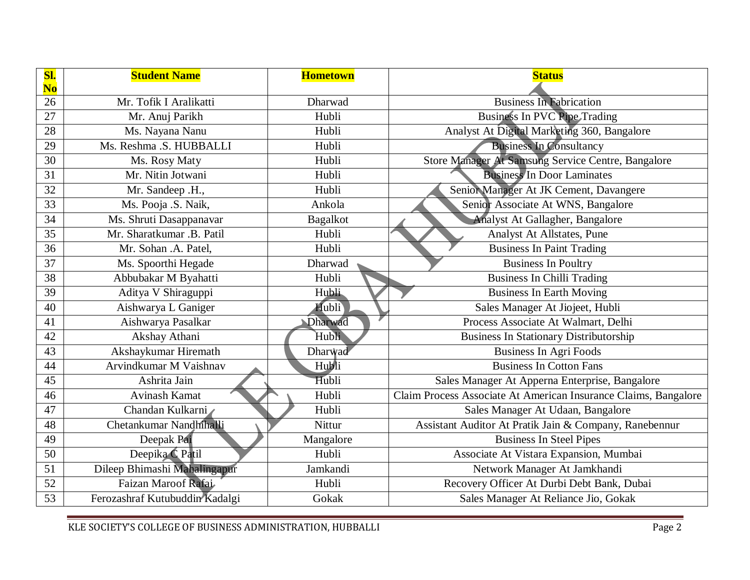| Sl.<br>N <sub>o</sub> | <b>Student Name</b>            | <b>Hometown</b> | <b>Status</b>                                                   |
|-----------------------|--------------------------------|-----------------|-----------------------------------------------------------------|
| 26                    | Mr. Tofik I Aralikatti         | Dharwad         | <b>Business In Fabrication</b>                                  |
| 27                    | Mr. Anuj Parikh                | Hubli           | <b>Business In PVC Pipe Trading</b>                             |
| 28                    | Ms. Nayana Nanu                | Hubli           | Analyst At Digital Marketing 360, Bangalore                     |
| 29                    | Ms. Reshma .S. HUBBALLI        | Hubli           | <b>Business In Consultancy</b>                                  |
| 30                    | Ms. Rosy Maty                  | Hubli           | Store Manager At Samsung Service Centre, Bangalore              |
| 31                    | Mr. Nitin Jotwani              | Hubli           | <b>Business In Door Laminates</b>                               |
| 32                    | Mr. Sandeep .H.,               | Hubli           | Senior Manager At JK Cement, Davangere                          |
| 33                    | Ms. Pooja .S. Naik,            | Ankola          | Senior Associate At WNS, Bangalore                              |
| 34                    | Ms. Shruti Dasappanavar        | <b>Bagalkot</b> | Analyst At Gallagher, Bangalore                                 |
| 35                    | Mr. Sharatkumar .B. Patil      | Hubli           | Analyst At Allstates, Pune                                      |
| 36                    | Mr. Sohan .A. Patel,           | Hubli           | <b>Business In Paint Trading</b>                                |
| 37                    | Ms. Spoorthi Hegade            | Dharwad         | <b>Business In Poultry</b>                                      |
| 38                    | Abbubakar M Byahatti           | Hubli           | <b>Business In Chilli Trading</b>                               |
| 39                    | Aditya V Shiraguppi            | Hubli           | <b>Business In Earth Moving</b>                                 |
| 40                    | Aishwarya L Ganiger            | Hubli           | Sales Manager At Jiojeet, Hubli                                 |
| 41                    | Aishwarya Pasalkar             | Dharwad         | Process Associate At Walmart, Delhi                             |
| 42                    | Akshay Athani                  | Hubli           | <b>Business In Stationary Distributorship</b>                   |
| 43                    | Akshaykumar Hiremath           | Dharwad         | <b>Business In Agri Foods</b>                                   |
| 44                    | Arvindkumar M Vaishnav         | Hubli           | <b>Business In Cotton Fans</b>                                  |
| 45                    | Ashrita Jain                   | Hubli           | Sales Manager At Apperna Enterprise, Bangalore                  |
| 46                    | <b>Avinash Kamat</b>           | Hubli           | Claim Process Associate At American Insurance Claims, Bangalore |
| 47                    | Chandan Kulkarni               | Hubli           | Sales Manager At Udaan, Bangalore                               |
| 48                    | Chetankumar Nandhihalli        | Nittur          | Assistant Auditor At Pratik Jain & Company, Ranebennur          |
| 49                    | Deepak Pai                     | Mangalore       | <b>Business In Steel Pipes</b>                                  |
| 50                    | Deepika C Patil                | Hubli           | Associate At Vistara Expansion, Mumbai                          |
| 51                    | Dileep Bhimashi Mahalingapur   | Jamkandi        | Network Manager At Jamkhandi                                    |
| 52                    | Faizan Maroof Rafai            | Hubli           | Recovery Officer At Durbi Debt Bank, Dubai                      |
| 53                    | Ferozashraf Kutubuddin Kadalgi | Gokak           | Sales Manager At Reliance Jio, Gokak                            |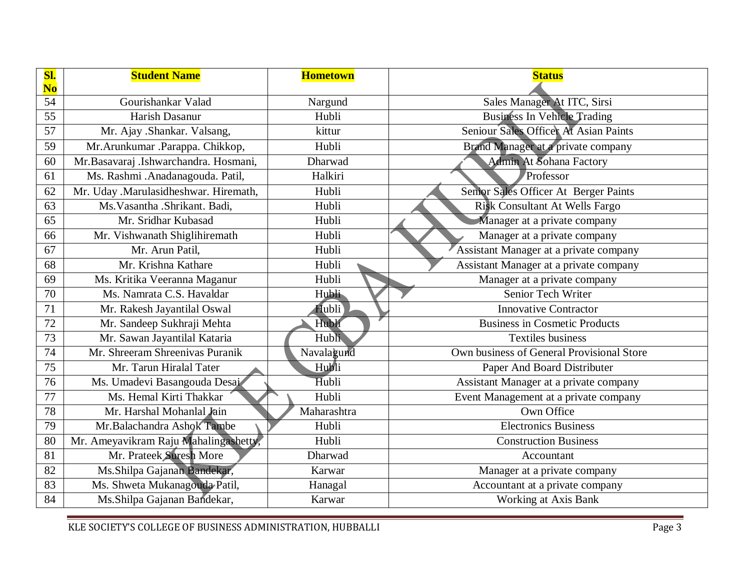| SI.<br>No       | <b>Student Name</b>                   | <b>Hometown</b> | <b>Status</b>                             |
|-----------------|---------------------------------------|-----------------|-------------------------------------------|
| 54              | Gourishankar Valad                    | Nargund         | Sales Manager At ITC, Sirsi               |
| 55              | Harish Dasanur                        | Hubli           | <b>Business In Vehicle Trading</b>        |
| 57              | Mr. Ajay .Shankar. Valsang,           | kittur          | Seniour Sales Officer At Asian Paints     |
| 59              | Mr. Arunkumar . Parappa. Chikkop,     | Hubli           | Brand Manager at a private company        |
| 60              | Mr.Basavaraj .Ishwarchandra. Hosmani, | Dharwad         | <b>Admin At Sohana Factory</b>            |
| 61              | Ms. Rashmi .Anadanagouda. Patil,      | Halkiri         | Professor                                 |
| 62              | Mr. Uday .Marulasidheshwar. Hiremath, | Hubli           | Senior Sales Officer At Berger Paints     |
| 63              | Ms. Vasantha . Shrikant. Badi,        | Hubli           | Risk Consultant At Wells Fargo            |
| $\overline{65}$ | Mr. Sridhar Kubasad                   | Hubli           | Manager at a private company              |
| 66              | Mr. Vishwanath Shiglihiremath         | Hubli           | Manager at a private company              |
| 67              | Mr. Arun Patil.                       | Hubli           | Assistant Manager at a private company    |
| 68              | Mr. Krishna Kathare                   | Hubli           | Assistant Manager at a private company    |
| 69              | Ms. Kritika Veeranna Maganur          | Hubli           | Manager at a private company              |
| 70              | Ms. Namrata C.S. Havaldar             | Hubli           | <b>Senior Tech Writer</b>                 |
| 71              | Mr. Rakesh Jayantilal Oswal           | Hubli           | <b>Innovative Contractor</b>              |
| 72              | Mr. Sandeep Sukhraji Mehta            | Hubli           | <b>Business in Cosmetic Products</b>      |
| 73              | Mr. Sawan Jayantilal Kataria          | Hubli           | <b>Textiles</b> business                  |
| 74              | Mr. Shreeram Shreenivas Puranik       | Navalagund      | Own business of General Provisional Store |
| 75              | Mr. Tarun Hiralal Tater               | Hubli           | Paper And Board Distributer               |
| 76              | Ms. Umadevi Basangouda Desai          | Hubli           | Assistant Manager at a private company    |
| $\overline{77}$ | Ms. Hemal Kirti Thakkar               | Hubli           | Event Management at a private company     |
| 78              | Mr. Harshal Mohanlal Jain             | Maharashtra     | Own Office                                |
| 79              | Mr.Balachandra Ashok Tambe            | Hubli           | <b>Electronics Business</b>               |
| 80              | Mr. Ameyavikram Raju Mahalingashetty, | Hubli           | <b>Construction Business</b>              |
| 81              | Mr. Prateek Suresh More               | Dharwad         | Accountant                                |
| 82              | Ms.Shilpa Gajanan Bandekar,           | Karwar          | Manager at a private company              |
| 83              | Ms. Shweta Mukanagouda Patil,         | Hanagal         | Accountant at a private company           |
| 84              | Ms.Shilpa Gajanan Bandekar,           | Karwar          | Working at Axis Bank                      |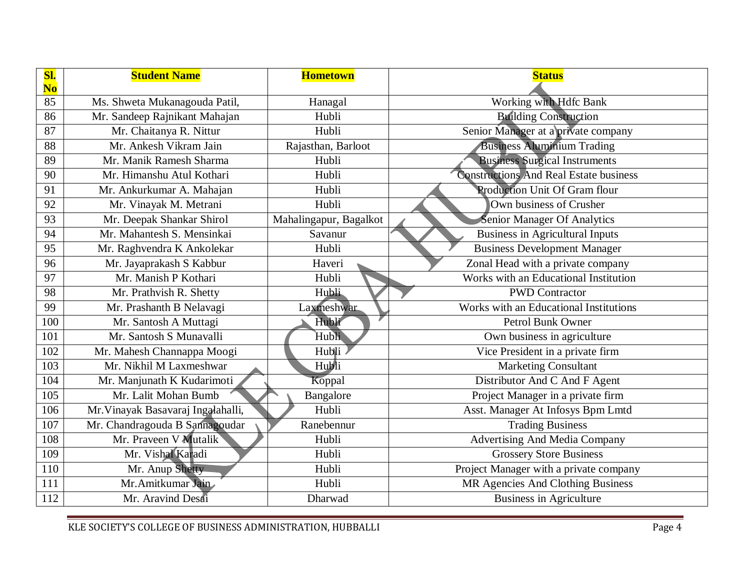| Sl.<br>$\overline{\textbf{N}\textbf{o}}$ | <b>Student Name</b>                | <b>Hometown</b>        | <b>Status</b>                                 |
|------------------------------------------|------------------------------------|------------------------|-----------------------------------------------|
| 85                                       | Ms. Shweta Mukanagouda Patil,      | Hanagal                | Working with Hdfc Bank                        |
| 86                                       | Mr. Sandeep Rajnikant Mahajan      | Hubli                  | <b>Building Construction</b>                  |
| 87                                       | Mr. Chaitanya R. Nittur            | Hubli                  | Senior Manager at a private company           |
| 88                                       | Mr. Ankesh Vikram Jain             | Rajasthan, Barloot     | <b>Business Aluminium Trading</b>             |
| 89                                       | Mr. Manik Ramesh Sharma            | Hubli                  | Business Surgical Instruments                 |
| 90                                       | Mr. Himanshu Atul Kothari          | Hubli                  | <b>Constructions And Real Estate business</b> |
| 91                                       | Mr. Ankurkumar A. Mahajan          | Hubli                  | <b>Production Unit Of Gram flour</b>          |
| 92                                       | Mr. Vinayak M. Metrani             | Hubli                  | Own business of Crusher                       |
| 93                                       | Mr. Deepak Shankar Shirol          | Mahalingapur, Bagalkot | Senior Manager Of Analytics                   |
| 94                                       | Mr. Mahantesh S. Mensinkai         | Savanur                | <b>Business in Agricultural Inputs</b>        |
| 95                                       | Mr. Raghvendra K Ankolekar         | Hubli                  | <b>Business Development Manager</b>           |
| 96                                       | Mr. Jayaprakash S Kabbur           | Haveri                 | Zonal Head with a private company             |
| 97                                       | Mr. Manish P Kothari               | Hubli                  | Works with an Educational Institution         |
| 98                                       | Mr. Prathvish R. Shetty            | Hubli                  | <b>PWD Contractor</b>                         |
| 99                                       | Mr. Prashanth B Nelavagi           | Laxmeshwar             | Works with an Educational Institutions        |
| 100                                      | Mr. Santosh A Muttagi              | Hubli                  | Petrol Bunk Owner                             |
| 101                                      | Mr. Santosh S Munavalli            | Hubli                  | Own business in agriculture                   |
| 102                                      | Mr. Mahesh Channappa Moogi         | Hubli                  | Vice President in a private firm              |
| 103                                      | Mr. Nikhil M Laxmeshwar            | Hubli                  | <b>Marketing Consultant</b>                   |
| 104                                      | Mr. Manjunath K Kudarimoti         | Koppal                 | Distributor And C And F Agent                 |
| 105                                      | Mr. Lalit Mohan Bumb               | Bangalore              | Project Manager in a private firm             |
| 106                                      | Mr. Vinayak Basavaraj Ingalahalli, | Hubli                  | Asst. Manager At Infosys Bpm Lmtd             |
| 107                                      | Mr. Chandragouda B Sannagoudar     | Ranebennur             | <b>Trading Business</b>                       |
| 108                                      | Mr. Praveen V Mutalik              | Hubli                  | <b>Advertising And Media Company</b>          |
| 109                                      | Mr. Vishal Karadi                  | Hubli                  | <b>Grossery Store Business</b>                |
| 110                                      | Mr. Anup Shetty                    | Hubli                  | Project Manager with a private company        |
| 111                                      | Mr. Amitkumar Jain                 | Hubli                  | MR Agencies And Clothing Business             |
| 112                                      | Mr. Aravind Desai                  | Dharwad                | <b>Business in Agriculture</b>                |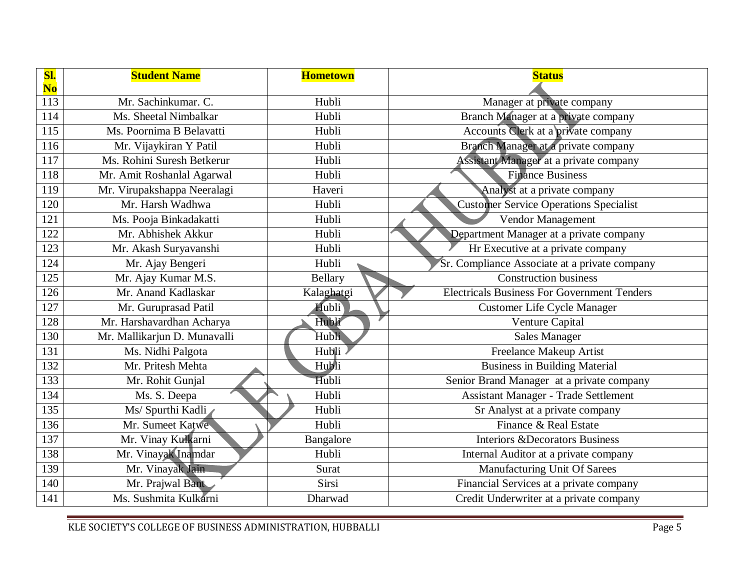| <b>SI.</b><br>$\overline{\text{No}}$ | <b>Student Name</b>          | <b>Hometown</b> | <b>Status</b>                                      |
|--------------------------------------|------------------------------|-----------------|----------------------------------------------------|
| 113                                  | Mr. Sachinkumar. C.          | Hubli           | Manager at private company                         |
| 114                                  | Ms. Sheetal Nimbalkar        | Hubli           | Branch Manager at a private company                |
| 115                                  | Ms. Poornima B Belavatti     | Hubli           | Accounts Clerk at a private company                |
| 116                                  | Mr. Vijaykiran Y Patil       | Hubli           | Branch Manager at a private company                |
| 117                                  | Ms. Rohini Suresh Betkerur   | Hubli           | Assistant Manager at a private company             |
| 118                                  | Mr. Amit Roshanlal Agarwal   | Hubli           | <b>Finance Business</b>                            |
| 119                                  | Mr. Virupakshappa Neeralagi  | Haveri          | Analyst at a private company                       |
| 120                                  | Mr. Harsh Wadhwa             | Hubli           | <b>Customer Service Operations Specialist</b>      |
| 121                                  | Ms. Pooja Binkadakatti       | Hubli           | Vendor Management                                  |
| 122                                  | Mr. Abhishek Akkur           | Hubli           | Department Manager at a private company            |
| 123                                  | Mr. Akash Suryavanshi        | Hubli           | Hr Executive at a private company                  |
| 124                                  | Mr. Ajay Bengeri             | Hubli           | Sr. Compliance Associate at a private company      |
| $\overline{125}$                     | Mr. Ajay Kumar M.S.          | Bellary         | <b>Construction business</b>                       |
| 126                                  | Mr. Anand Kadlaskar          | Kalaghatgi      | <b>Electricals Business For Government Tenders</b> |
| 127                                  | Mr. Guruprasad Patil         | Hubli           | <b>Customer Life Cycle Manager</b>                 |
| 128                                  | Mr. Harshavardhan Acharya    | Hubli           | Venture Capital                                    |
| 130                                  | Mr. Mallikarjun D. Munavalli | Hubli           | <b>Sales Manager</b>                               |
| 131                                  | Ms. Nidhi Palgota            | Hubli           | <b>Freelance Makeup Artist</b>                     |
| 132                                  | Mr. Pritesh Mehta            | Hubli           | <b>Business in Building Material</b>               |
| 133                                  | Mr. Rohit Gunjal             | Hubli           | Senior Brand Manager at a private company          |
| 134                                  | Ms. S. Deepa                 | Hubli           | Assistant Manager - Trade Settlement               |
| 135                                  | Ms/ Spurthi Kadli            | Hubli           | Sr Analyst at a private company                    |
| 136                                  | Mr. Sumeet Katwe             | Hubli           | Finance & Real Estate                              |
| 137                                  | Mr. Vinay Kulkarni           | Bangalore       | <b>Interiors &amp;Decorators Business</b>          |
| 138                                  | Mr. Vinayak Inamdar          | Hubli           | Internal Auditor at a private company              |
| 139                                  | Mr. Vinayak Jain             | Surat           | <b>Manufacturing Unit Of Sarees</b>                |
| 140                                  | Mr. Prajwal Bant             | Sirsi           | Financial Services at a private company            |
| 141                                  | Ms. Sushmita Kulkarni        | Dharwad         | Credit Underwriter at a private company            |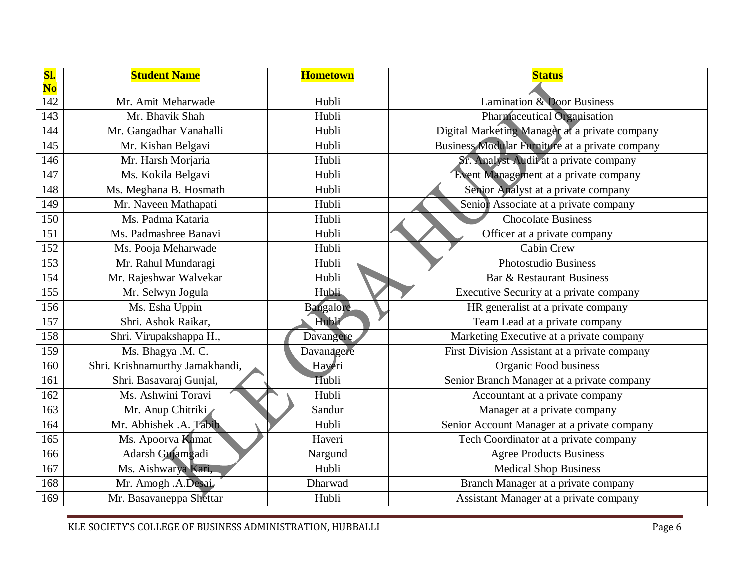| Sl.<br>$\overline{\text{No}}$ | <b>Student Name</b>             | <b>Hometown</b> | <b>Status</b>                                   |
|-------------------------------|---------------------------------|-----------------|-------------------------------------------------|
| 142                           | Mr. Amit Meharwade              | Hubli           | <b>Lamination &amp; Door Business</b>           |
| 143                           | Mr. Bhavik Shah                 | Hubli           | Pharmaceutical Organisation                     |
| 144                           | Mr. Gangadhar Vanahalli         | Hubli           | Digital Marketing Manager at a private company  |
| 145                           | Mr. Kishan Belgavi              | Hubli           | Business Modular Furniture at a private company |
| 146                           | Mr. Harsh Morjaria              | Hubli           | Sr. Analyst Audit at a private company          |
| 147                           | Ms. Kokila Belgavi              | Hubli           | Event Management at a private company           |
| 148                           | Ms. Meghana B. Hosmath          | Hubli           | Senior Analyst at a private company             |
| 149                           | Mr. Naveen Mathapati            | Hubli           | Senior Associate at a private company           |
| 150                           | Ms. Padma Kataria               | Hubli           | <b>Chocolate Business</b>                       |
| 151                           | Ms. Padmashree Banavi           | Hubli           | Officer at a private company                    |
| 152                           | Ms. Pooja Meharwade             | Hubli           | <b>Cabin Crew</b>                               |
| 153                           | Mr. Rahul Mundaragi             | Hubli           | Photostudio Business                            |
| 154                           | Mr. Rajeshwar Walvekar          | Hubli           | Bar & Restaurant Business                       |
| 155                           | Mr. Selwyn Jogula               | <b>Hubli</b>    | Executive Security at a private company         |
| 156                           | Ms. Esha Uppin                  | Bangalore       | HR generalist at a private company              |
| 157                           | Shri. Ashok Raikar,             | Hubli           | Team Lead at a private company                  |
| 158                           | Shri. Virupakshappa H.,         | Davangere       | Marketing Executive at a private company        |
| 159                           | Ms. Bhagya .M. C.               | Davanagere      | First Division Assistant at a private company   |
| 160                           | Shri. Krishnamurthy Jamakhandi, | Haveri          | Organic Food business                           |
| 161                           | Shri. Basavaraj Gunjal,         | Hubli           | Senior Branch Manager at a private company      |
| 162                           | Ms. Ashwini Toravi              | Hubli           | Accountant at a private company                 |
| 163                           | Mr. Anup Chitriki               | Sandur          | Manager at a private company                    |
| 164                           | Mr. Abhishek .A. Tabib          | Hubli           | Senior Account Manager at a private company     |
| 165                           | Ms. Apoorva Kamat               | Haveri          | Tech Coordinator at a private company           |
| 166                           | Adarsh Gujamgadi                | Nargund         | <b>Agree Products Business</b>                  |
| 167                           | Ms. Aishwarya Kari,             | Hubli           | <b>Medical Shop Business</b>                    |
| 168                           | Mr. Amogh .A.Desai,             | Dharwad         | Branch Manager at a private company             |
| 169                           | Mr. Basavaneppa Shettar         | Hubli           | Assistant Manager at a private company          |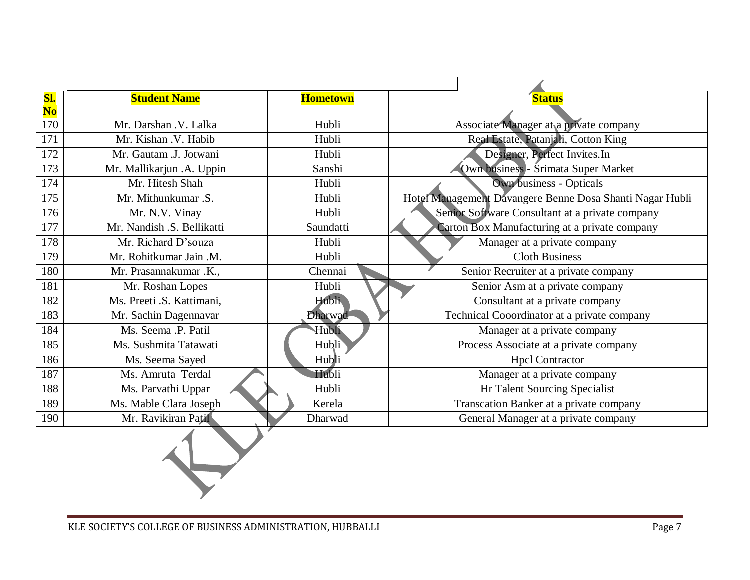| Sl.                      | <b>Student Name</b>        | <b>Hometown</b> | <b>Status</b>                                            |
|--------------------------|----------------------------|-----------------|----------------------------------------------------------|
| $\overline{\textbf{No}}$ |                            |                 |                                                          |
| 170                      | Mr. Darshan .V. Lalka      | Hubli           | Associate Manager at a private company                   |
| 171                      | Mr. Kishan .V. Habib       | Hubli           | Real Estate, Patanjali, Cotton King                      |
| 172                      | Mr. Gautam .J. Jotwani     | Hubli           | Designer, Perfect Invites.In                             |
| 173                      | Mr. Mallikarjun .A. Uppin  | Sanshi          | Own business - Šrimata Super Market                      |
| 174                      | Mr. Hitesh Shah            | Hubli           | <b>Own business - Opticals</b>                           |
| 175                      | Mr. Mithunkumar .S.        | Hubli           | Hotel Management Davangere Benne Dosa Shanti Nagar Hubli |
| 176                      | Mr. N.V. Vinay             | Hubli           | Senior Software Consultant at a private company          |
| 177                      | Mr. Nandish .S. Bellikatti | Saundatti       | Carton Box Manufacturing at a private company            |
| 178                      | Mr. Richard D'souza        | Hubli           | Manager at a private company                             |
| 179                      | Mr. Rohitkumar Jain .M.    | Hubli           | <b>Cloth Business</b>                                    |
| 180                      | Mr. Prasannakumar .K.,     | Chennai         | Senior Recruiter at a private company                    |
| 181                      | Mr. Roshan Lopes           | Hubli           | Senior Asm at a private company                          |
| 182                      | Ms. Preeti .S. Kattimani,  | <b>Hubli</b>    | Consultant at a private company                          |
| 183                      | Mr. Sachin Dagennavar      | Dharwad         | Technical Cooordinator at a private company              |
| 184                      | Ms. Seema .P. Patil        | Hubli           | Manager at a private company                             |
| 185                      | Ms. Sushmita Tatawati      | Hubli           | Process Associate at a private company                   |
| 186                      | Ms. Seema Sayed            | Hubli           | <b>Hpcl Contractor</b>                                   |
| 187                      | Ms. Amruta Terdal          | Hubli           | Manager at a private company                             |
| 188                      | Ms. Parvathi Uppar         | Hubli           | Hr Talent Sourcing Specialist                            |
| 189                      | Ms. Mable Clara Joseph     | Kerela          | Transcation Banker at a private company                  |
| 190                      | Mr. Ravikiran Patil        | Dharwad         | General Manager at a private company                     |
|                          |                            |                 |                                                          |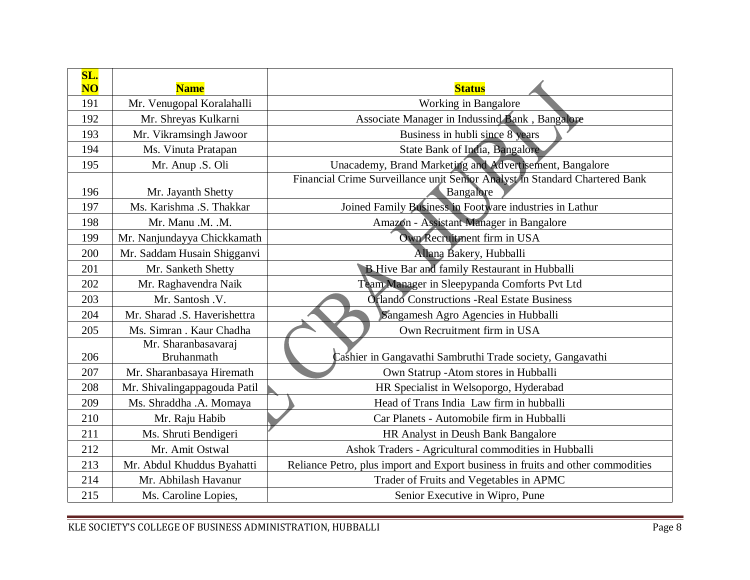| SL.<br>$\overline{\text{NO}}$ | <b>Name</b>                              | <b>Status</b>                                                                            |
|-------------------------------|------------------------------------------|------------------------------------------------------------------------------------------|
| 191                           | Mr. Venugopal Koralahalli                | Working in Bangalore                                                                     |
| 192                           | Mr. Shreyas Kulkarni                     | Associate Manager in Indussind Bank, Bangalore                                           |
| 193                           | Mr. Vikramsingh Jawoor                   | Business in hubli since 8 years                                                          |
| 194                           | Ms. Vinuta Pratapan                      | <b>State Bank of India, Bangalore</b>                                                    |
| 195                           | Mr. Anup .S. Oli                         | Unacademy, Brand Marketing and Advertisement, Bangalore                                  |
| 196                           | Mr. Jayanth Shetty                       | Financial Crime Surveillance unit Senior Analyst in Standard Chartered Bank<br>Bangalore |
| 197                           | Ms. Karishma .S. Thakkar                 | Joined Family Business in Footware industries in Lathur                                  |
| 198                           | Mr. Manu .M. .M.                         | Amazón - Assistant Manager in Bangalore                                                  |
| 199                           | Mr. Nanjundayya Chickkamath              | Own Recruitment firm in USA                                                              |
| 200                           | Mr. Saddam Husain Shigganvi              | Allang Bakery, Hubballi                                                                  |
| 201                           | Mr. Sanketh Shetty                       | <b>B</b> Hive Bar and family Restaurant in Hubballi                                      |
| 202                           | Mr. Raghavendra Naik                     | Team Manager in Sleepypanda Comforts Pvt Ltd                                             |
| 203                           | Mr. Santosh .V.                          | <b>Orlando Constructions - Real Estate Business</b>                                      |
| 204                           | Mr. Sharad .S. Haverishettra             | Sangamesh Agro Agencies in Hubballi                                                      |
| 205                           | Ms. Simran . Kaur Chadha                 | Own Recruitment firm in USA                                                              |
| 206                           | Mr. Sharanbasavaraj<br><b>Bruhanmath</b> | Cashier in Gangavathi Sambruthi Trade society, Gangavathi                                |
| 207                           | Mr. Sharanbasaya Hiremath                | Own Statrup - Atom stores in Hubballi                                                    |
| 208                           | Mr. Shivalingappagouda Patil             | HR Specialist in Welsoporgo, Hyderabad                                                   |
| 209                           | Ms. Shraddha .A. Momaya                  | Head of Trans India Law firm in hubballi                                                 |
| 210                           | Mr. Raju Habib                           | Car Planets - Automobile firm in Hubballi                                                |
| 211                           | Ms. Shruti Bendigeri                     | HR Analyst in Deush Bank Bangalore                                                       |
| 212                           | Mr. Amit Ostwal                          | Ashok Traders - Agricultural commodities in Hubballi                                     |
| 213                           | Mr. Abdul Khuddus Byahatti               | Reliance Petro, plus import and Export business in fruits and other commodities          |
| 214                           | Mr. Abhilash Havanur                     | Trader of Fruits and Vegetables in APMC                                                  |
| 215                           | Ms. Caroline Lopies,                     | Senior Executive in Wipro, Pune                                                          |